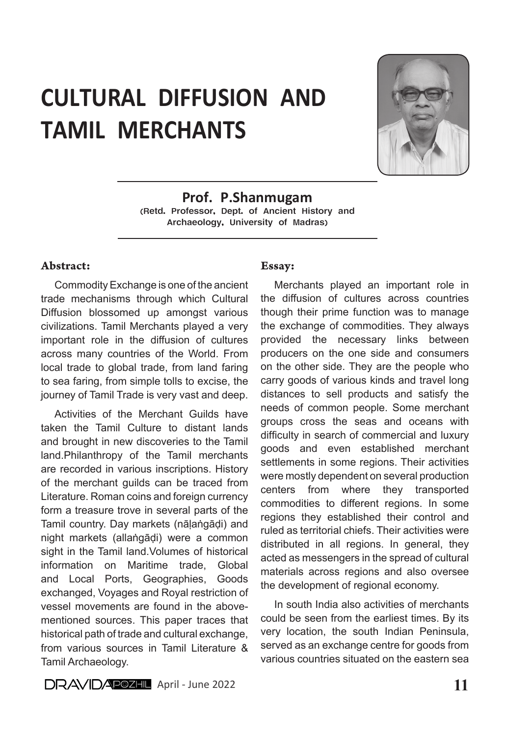# CULTURAL DIFFUSION AND TAMIL MERCHANTS



Prof. P.Shanmugam (Retd. Professor, Dept. of Ancient History and Archaeology, University of Madras)

#### Abstract:

Commodity Exchange is one of the ancient trade mechanisms through which Cultural Diffusion blossomed up amongst various civilizations. Tamil Merchants played a very important role in the diffusion of cultures across many countries of the World. From local trade to global trade, from land faring to sea faring, from simple tolls to excise, the journey of Tamil Trade is very vast and deep.

Activities of the Merchant Guilds have taken the Tamil Culture to distant lands and brought in new discoveries to the Tamil land.Philanthropy of the Tamil merchants are recorded in various inscriptions. History of the merchant guilds can be traced from Literature. Roman coins and foreign currency form a treasure trove in several parts of the Tamil country. Day markets (nāḷaṅgāḍi) and night markets (allaṅgāḍi) were a common sight in the Tamil land.Volumes of historical information on Maritime trade, Global and Local Ports, Geographies, Goods exchanged, Voyages and Royal restriction of vessel movements are found in the abovementioned sources. This paper traces that historical path of trade and cultural exchange, from various sources in Tamil Literature & Tamil Archaeology.

#### Essay:

Merchants played an important role in the diffusion of cultures across countries though their prime function was to manage the exchange of commodities. They always provided the necessary links between producers on the one side and consumers on the other side. They are the people who carry goods of various kinds and travel long distances to sell products and satisfy the needs of common people. Some merchant groups cross the seas and oceans with difficulty in search of commercial and luxury goods and even established merchant settlements in some regions. Their activities were mostly dependent on several production centers from where they transported commodities to different regions. In some regions they established their control and ruled as territorial chiefs. Their activities were distributed in all regions. In general, they acted as messengers in the spread of cultural materials across regions and also oversee the development of regional economy.

In south India also activities of merchants could be seen from the earliest times. By its very location, the south Indian Peninsula, served as an exchange centre for goods from various countries situated on the eastern sea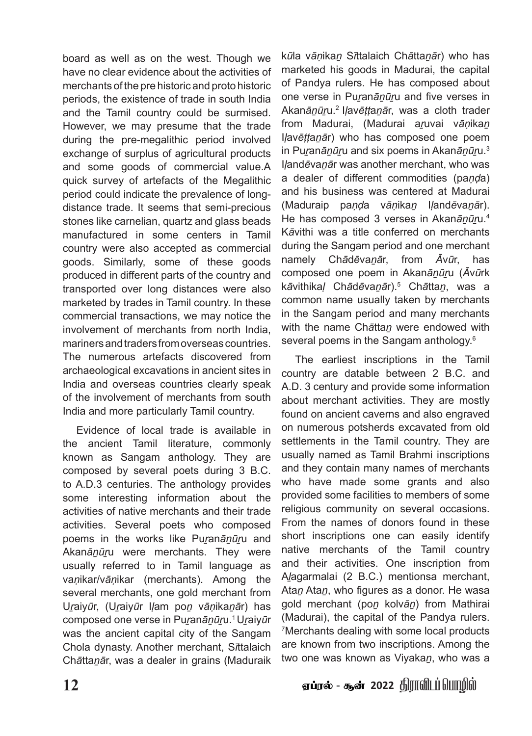board as well as on the west. Though we have no clear evidence about the activities of merchants of the pre historic and proto historic periods, the existence of trade in south India and the Tamil country could be surmised. However, we may presume that the trade during the pre-megalithic period involved exchange of surplus of agricultural products and some goods of commercial value.A quick survey of artefacts of the Megalithic period could indicate the prevalence of longdistance trade. It seems that semi-precious stones like carnelian, quartz and glass beads manufactured in some centers in Tamil country were also accepted as commercial goods. Similarly, some of these goods produced in different parts of the country and transported over long distances were also marketed by trades in Tamil country. In these commercial transactions, we may notice the involvement of merchants from north India, mariners and traders from overseas countries. The numerous artefacts discovered from archaeological excavations in ancient sites in India and overseas countries clearly speak of the involvement of merchants from south India and more particularly Tamil country.

Evidence of local trade is available in the ancient Tamil literature, commonly known as Sangam anthology. They are composed by several poets during 3 B.C. to A.D.3 centuries. The anthology provides some interesting information about the activities of native merchants and their trade activities. Several poets who composed poems in the works like Purananūru and Akan*ānūr*u were merchants. They were usually referred to in Tamil language as va*ṇ*ikar/v*āṇ*ikar (merchants). Among the several merchants, one gold merchant from U*ṟ*aiy*ū*r, (U*ṟ*aiy*ū*r I*ḷ*am po*ṉ* v*āṇ*ika*ṉā*r) has composed one verse in Pu*ṟ*an*āṉūṟ*u.1 U*ṟ*aiy*ū*r was the ancient capital city of the Sangam Chola dynasty. Another merchant, S*ī*ttalaich Ch*ā*tta*ṉā*r, was a dealer in grains (Maduraik

k*ū*la v*āṇ*ika*ṉ* S*ī*ttalaich Ch*ā*tta*ṉā*r) who has marketed his goods in Madurai, the capital of Pandya rulers. He has composed about one verse in Pu*ṟ*an*āṉūṟ*u and five verses in Akan*āṉūṟ*u.2 I*ḷ*av*ēṭṭ*a*ṉā*r, was a cloth trader from Madurai, (Madurai a*ṟ*uvai v*āṇ*ika*ṉ* I*ḷ*av*ēṭṭ*a*ṉā*r) who has composed one poem in Puran*ānūr*u and six poems in Akan*ānūr*u.<sup>3</sup> I*ḷ*and*ē*va*ṉā*r was another merchant, who was a dealer of different commodities (pa*ṇḍ*a) and his business was centered at Madurai (Maduraip pa*ṇḍ*a v*āṇ*ika*ṉ* I*ḷ*and*ē*va*ṉā*r). He has composed 3 verses in Akan*ānūr*u.<sup>4</sup> K*ā*vithi was a title conferred on merchants during the Sangam period and one merchant namely Ch*ā*d*ē*va*ṉā*r, from *Ā*v*ū*r, has composed one poem in Akan*āṉūṟ*u (*Ā*v*ū*rk k*ā*vithika*ḷ* Ch*ā*d*ē*va*ṉā*r).<sup>5</sup> Ch*ā*tta*ṉ*, was a common name usually taken by merchants in the Sangam period and many merchants with the name Ch*ā*tta*ṉ* were endowed with several poems in the Sangam anthology.<sup>6</sup>

The earliest inscriptions in the Tamil country are datable between 2 B.C. and A.D. 3 century and provide some information about merchant activities. They are mostly found on ancient caverns and also engraved on numerous potsherds excavated from old settlements in the Tamil country. They are usually named as Tamil Brahmi inscriptions and they contain many names of merchants who have made some grants and also provided some facilities to members of some religious community on several occasions. From the names of donors found in these short inscriptions one can easily identify native merchants of the Tamil country and their activities. One inscription from A*ḻ*agarmalai (2 B.C.) mentionsa merchant, Ata*ṉ* Ata*ṉ*, who figures as a donor. He wasa gold merchant (po*ṉ* kolv*āṉ*) from Mathirai (Madurai), the capital of the Pandya rulers. 7 Merchants dealing with some local products are known from two inscriptions. Among the two one was known as Viyaka*ṉ*, who was a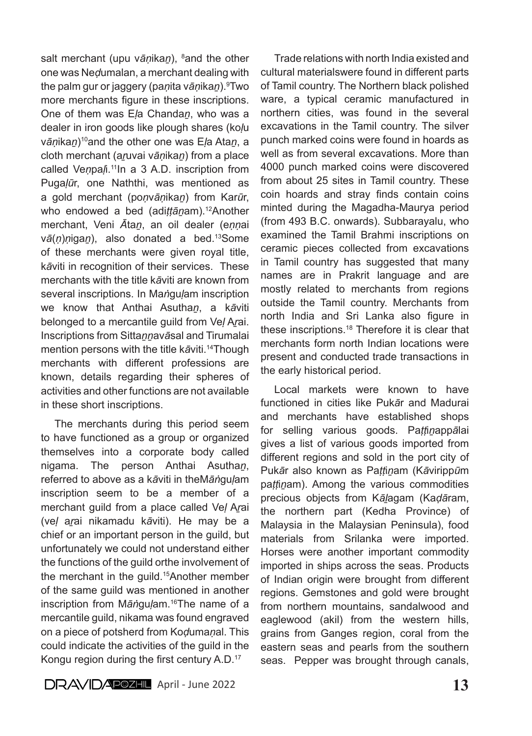salt merchant (upu vāņika<u>n),</u> <sup>8</sup>and the other one was Ne*ḍ*umalan, a merchant dealing with the palm gur or jaggery (pa*ṇ*ita v*āṇ*ika*ṉ*).<sup>9</sup> Two more merchants figure in these inscriptions. One of them was E*ḷ*a Chanda*ṉ*, who was a dealer in iron goods like plough shares (ko*ḷ*u v*āṇ*ika*ṉ*)10and the other one was E*ḷ*a Ata*ṉ*, a cloth merchant (a*ṟ*uvai v*āṇ*ika*ṉ*) from a place called Venpali.<sup>11</sup>In a 3 A.D. inscription from Puga*ḷū*r, one Naththi, was mentioned as a gold merchant (po*ṇ*v*āṇ*ika*ṉ*) from Kar*ū*r, who endowed a bed (adi*ttānam*).<sup>12</sup>Another merchant, Veni *Ā*ta*ṉ*, an oil dealer (e*ṇṇ*ai v*ā*(*ṇ*)*ṇ*iga*ṉ*), also donated a bed.13Some of these merchants were given royal title, k*ā*viti in recognition of their services. These merchants with the title k*ā*viti are known from several inscriptions. In Ma*ṅ*gu*ḷ*am inscription we know that Anthai Asutha*ṉ*, a k*ā*viti belonged to a mercantile guild from Ve*ḷ* A*ṟ*ai. Inscriptions from Sitta*ṉṉ*av*ā*sal and Tirumalai mention persons with the title k*ā*viti.14Though merchants with different professions are known, details regarding their spheres of activities and other functions are not available in these short inscriptions.

The merchants during this period seem to have functioned as a group or organized themselves into a corporate body called nigama. The person Anthai Asutha*ṉ*, referred to above as a k*ā*viti in theM*āṅ*gu*ḷ*am inscription seem to be a member of a merchant guild from a place called Ve*ḷ* A*ṟ*ai (ve*ḷ* a*ṟ*ai nikamadu k*ā*viti). He may be a chief or an important person in the guild, but unfortunately we could not understand either the functions of the guild orthe involvement of the merchant in the guild.15Another member of the same guild was mentioned in another inscription from M*āṅ*gu*ḷ*am.16The name of a mercantile guild, nikama was found engraved on a piece of potsherd from Ko*ḍ*uma*ṇ*al. This could indicate the activities of the guild in the Kongu region during the first century A.D.<sup>17</sup>

Trade relations with north India existed and cultural materialswere found in different parts of Tamil country. The Northern black polished ware, a typical ceramic manufactured in northern cities, was found in the several excavations in the Tamil country. The silver punch marked coins were found in hoards as well as from several excavations. More than 4000 punch marked coins were discovered from about 25 sites in Tamil country. These coin hoards and stray finds contain coins minted during the Magadha-Maurya period (from 493 B.C. onwards). Subbarayalu, who examined the Tamil Brahmi inscriptions on ceramic pieces collected from excavations in Tamil country has suggested that many names are in Prakrit language and are mostly related to merchants from regions outside the Tamil country. Merchants from north India and Sri Lanka also figure in these inscriptions.18 Therefore it is clear that merchants form north Indian locations were present and conducted trade transactions in the early historical period.

Local markets were known to have functioned in cities like Puk*ā*r and Madurai and merchants have established shops for selling various goods. Pa*ṭṭ*i*ṉ*app*ā*lai gives a list of various goods imported from different regions and sold in the port city of Puk*ā*r also known as Pa*ṭṭ*i*ṉ*am (K*ā*viripp*ū*m pattinam). Among the various commodities precious objects from K*āḻ*agam (Ka*ḍā*ram, the northern part (Kedha Province) of Malaysia in the Malaysian Peninsula), food materials from Srilanka were imported. Horses were another important commodity imported in ships across the seas. Products of Indian origin were brought from different regions. Gemstones and gold were brought from northern mountains, sandalwood and eaglewood (akil) from the western hills, grains from Ganges region, coral from the eastern seas and pearls from the southern seas. Pepper was brought through canals,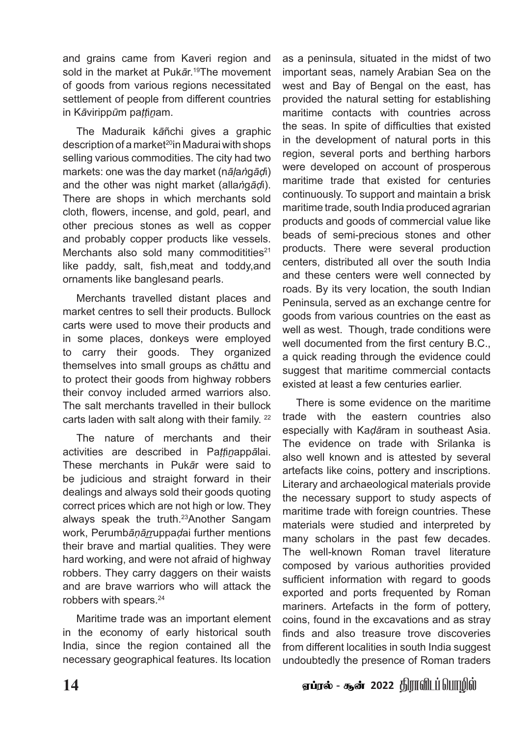and grains came from Kaveri region and sold in the market at Puk*ā*r.19The movement of goods from various regions necessitated settlement of people from different countries in K*ā*viripp*ū*m pa*ṭṭ*i*ṉ*am.

The Maduraik k*ā*ñchi gives a graphic description of a market<sup>20</sup>in Madurai with shops selling various commodities. The city had two markets: one was the day market (n*āḷ*a*ṅ*g*āḍ*i) and the other was night market (alla*ṅ*g*āḍ*i). There are shops in which merchants sold cloth, flowers, incense, and gold, pearl, and other precious stones as well as copper and probably copper products like vessels. Merchants also sold many commoditities<sup>21</sup> like paddy, salt, fish,meat and toddy,and ornaments like banglesand pearls.

Merchants travelled distant places and market centres to sell their products. Bullock carts were used to move their products and in some places, donkeys were employed to carry their goods. They organized themselves into small groups as ch*ā*ttu and to protect their goods from highway robbers their convoy included armed warriors also. The salt merchants travelled in their bullock carts laden with salt along with their family. 22

The nature of merchants and their activities are described in Pa*ṭṭ*i*ṉ*app*ā*lai. These merchants in Puk*ā*r were said to be judicious and straight forward in their dealings and always sold their goods quoting correct prices which are not high or low. They always speak the truth.23Another Sangam work, Perumb*āṇāṟṟ*uppa*ḍ*ai further mentions their brave and martial qualities. They were hard working, and were not afraid of highway robbers. They carry daggers on their waists and are brave warriors who will attack the robbers with spears.<sup>24</sup>

Maritime trade was an important element in the economy of early historical south India, since the region contained all the necessary geographical features. Its location

as a peninsula, situated in the midst of two important seas, namely Arabian Sea on the west and Bay of Bengal on the east, has provided the natural setting for establishing maritime contacts with countries across the seas. In spite of difficulties that existed in the development of natural ports in this region, several ports and berthing harbors were developed on account of prosperous maritime trade that existed for centuries continuously. To support and maintain a brisk maritime trade, south India produced agrarian products and goods of commercial value like beads of semi-precious stones and other products. There were several production centers, distributed all over the south India and these centers were well connected by roads. By its very location, the south Indian Peninsula, served as an exchange centre for goods from various countries on the east as well as west. Though, trade conditions were well documented from the first century B.C., a quick reading through the evidence could suggest that maritime commercial contacts existed at least a few centuries earlier.

There is some evidence on the maritime trade with the eastern countries also especially with Ka*ḍā*ram in southeast Asia. The evidence on trade with Srilanka is also well known and is attested by several artefacts like coins, pottery and inscriptions. Literary and archaeological materials provide the necessary support to study aspects of maritime trade with foreign countries. These materials were studied and interpreted by many scholars in the past few decades. The well-known Roman travel literature composed by various authorities provided sufficient information with regard to goods exported and ports frequented by Roman mariners. Artefacts in the form of pottery, coins, found in the excavations and as stray finds and also treasure trove discoveries from different localities in south India suggest undoubtedly the presence of Roman traders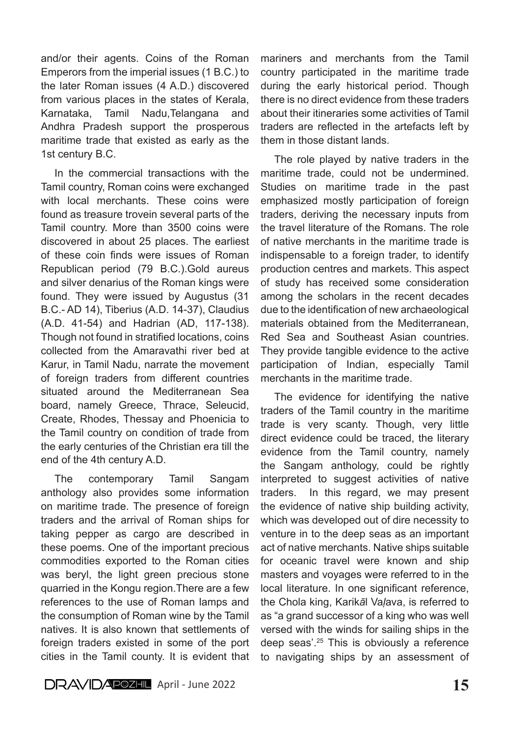and/or their agents. Coins of the Roman Emperors from the imperial issues (1 B.C.) to the later Roman issues (4 A.D.) discovered from various places in the states of Kerala, Karnataka, Tamil Nadu,Telangana and Andhra Pradesh support the prosperous maritime trade that existed as early as the 1st century B.C.

In the commercial transactions with the Tamil country, Roman coins were exchanged with local merchants. These coins were found as treasure trovein several parts of the Tamil country. More than 3500 coins were discovered in about 25 places. The earliest of these coin finds were issues of Roman Republican period (79 B.C.).Gold aureus and silver denarius of the Roman kings were found. They were issued by Augustus (31 B.C.- AD 14), Tiberius (A.D. 14-37), Claudius (A.D. 41-54) and Hadrian (AD, 117-138). Though not found in stratified locations, coins collected from the Amaravathi river bed at Karur, in Tamil Nadu, narrate the movement of foreign traders from different countries situated around the Mediterranean Sea board, namely Greece, Thrace, Seleucid, Create, Rhodes, Thessay and Phoenicia to the Tamil country on condition of trade from the early centuries of the Christian era till the end of the 4th century A.D.

The contemporary Tamil Sangam anthology also provides some information on maritime trade. The presence of foreign traders and the arrival of Roman ships for taking pepper as cargo are described in these poems. One of the important precious commodities exported to the Roman cities was beryl, the light green precious stone quarried in the Kongu region.There are a few references to the use of Roman lamps and the consumption of Roman wine by the Tamil natives. It is also known that settlements of foreign traders existed in some of the port cities in the Tamil county. It is evident that mariners and merchants from the Tamil country participated in the maritime trade during the early historical period. Though there is no direct evidence from these traders about their itineraries some activities of Tamil traders are reflected in the artefacts left by them in those distant lands.

The role played by native traders in the maritime trade, could not be undermined. Studies on maritime trade in the past emphasized mostly participation of foreign traders, deriving the necessary inputs from the travel literature of the Romans. The role of native merchants in the maritime trade is indispensable to a foreign trader, to identify production centres and markets. This aspect of study has received some consideration among the scholars in the recent decades due to the identification of new archaeological materials obtained from the Mediterranean, Red Sea and Southeast Asian countries. They provide tangible evidence to the active participation of Indian, especially Tamil merchants in the maritime trade.

The evidence for identifying the native traders of the Tamil country in the maritime trade is very scanty. Though, very little direct evidence could be traced, the literary evidence from the Tamil country, namely the Sangam anthology, could be rightly interpreted to suggest activities of native traders. In this regard, we may present the evidence of native ship building activity, which was developed out of dire necessity to venture in to the deep seas as an important act of native merchants. Native ships suitable for oceanic travel were known and ship masters and voyages were referred to in the local literature. In one significant reference, the Chola king, Karik*ā*l Va*ḷ*ava, is referred to as "a grand successor of a king who was well versed with the winds for sailing ships in the deep seas'.<sup>25</sup> This is obviously a reference to navigating ships by an assessment of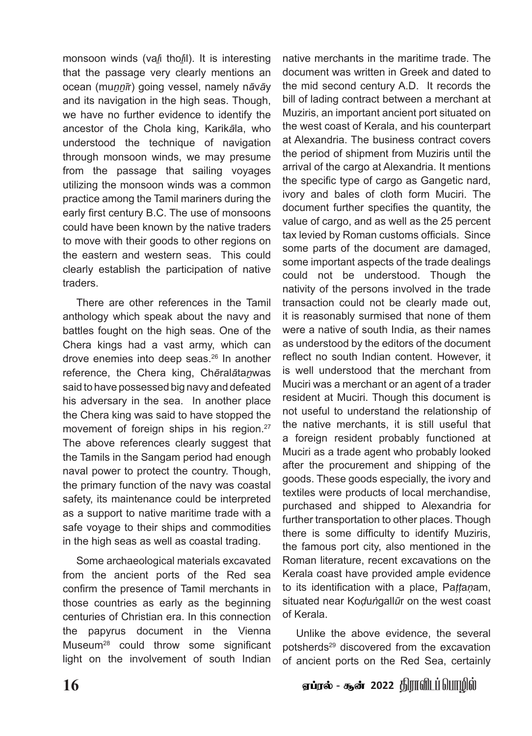monsoon winds (va*ḻ*i tho*ḻ*il). It is interesting that the passage very clearly mentions an ocean (mu*ṉṉī*r) going vessel, namely n*ā*v*ā*y and its navigation in the high seas. Though, we have no further evidence to identify the ancestor of the Chola king, Karik*ā*la, who understood the technique of navigation through monsoon winds, we may presume from the passage that sailing voyages utilizing the monsoon winds was a common practice among the Tamil mariners during the early first century B.C. The use of monsoons could have been known by the native traders to move with their goods to other regions on the eastern and western seas. This could clearly establish the participation of native traders.

There are other references in the Tamil anthology which speak about the navy and battles fought on the high seas. One of the Chera kings had a vast army, which can drove enemies into deep seas.26 In another reference, the Chera king, Ch*ē*ral*ā*ta*ṉ*was said to have possessed big navy and defeated his adversary in the sea. In another place the Chera king was said to have stopped the movement of foreign ships in his region.<sup>27</sup> The above references clearly suggest that the Tamils in the Sangam period had enough naval power to protect the country. Though, the primary function of the navy was coastal safety, its maintenance could be interpreted as a support to native maritime trade with a safe voyage to their ships and commodities in the high seas as well as coastal trading.

Some archaeological materials excavated from the ancient ports of the Red sea confirm the presence of Tamil merchants in those countries as early as the beginning centuries of Christian era. In this connection the papyrus document in the Vienna Museum28 could throw some significant light on the involvement of south Indian

native merchants in the maritime trade. The document was written in Greek and dated to the mid second century A.D. It records the bill of lading contract between a merchant at Muziris, an important ancient port situated on the west coast of Kerala, and his counterpart at Alexandria. The business contract covers the period of shipment from Muziris until the arrival of the cargo at Alexandria. It mentions the specific type of cargo as Gangetic nard, ivory and bales of cloth form Muciri. The document further specifies the quantity, the value of cargo, and as well as the 25 percent tax levied by Roman customs officials. Since some parts of the document are damaged, some important aspects of the trade dealings could not be understood. Though the nativity of the persons involved in the trade transaction could not be clearly made out, it is reasonably surmised that none of them were a native of south India, as their names as understood by the editors of the document reflect no south Indian content. However, it is well understood that the merchant from Muciri was a merchant or an agent of a trader resident at Muciri. Though this document is not useful to understand the relationship of the native merchants, it is still useful that a foreign resident probably functioned at Muciri as a trade agent who probably looked after the procurement and shipping of the goods. These goods especially, the ivory and textiles were products of local merchandise, purchased and shipped to Alexandria for further transportation to other places. Though there is some difficulty to identify Muziris, the famous port city, also mentioned in the Roman literature, recent excavations on the Kerala coast have provided ample evidence to its identification with a place, Pa*ṭṭ*a*ṇ*am, situated near Ko*ḍ*u*ṅ*gall*ū*r on the west coast of Kerala.

Unlike the above evidence, the several potsherds<sup>29</sup> discovered from the excavation of ancient ports on the Red Sea, certainly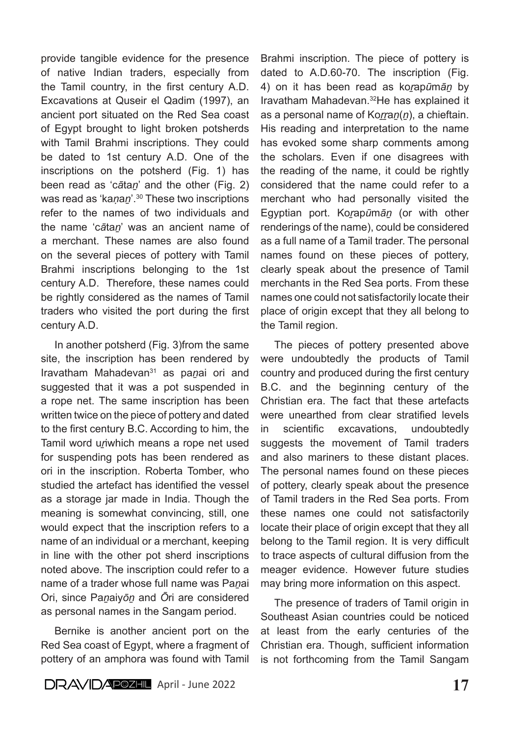provide tangible evidence for the presence of native Indian traders, especially from the Tamil country, in the first century A.D. Excavations at Quseir el Qadim (1997), an ancient port situated on the Red Sea coast of Egypt brought to light broken potsherds with Tamil Brahmi inscriptions. They could be dated to 1st century A.D. One of the inscriptions on the potsherd (Fig. 1) has been read as 'c*ā*ta*ṉ*' and the other (Fig. 2) was read as 'kanan'.<sup>30</sup> These two inscriptions refer to the names of two individuals and the name 'c*ā*ta*ṉ*' was an ancient name of a merchant. These names are also found on the several pieces of pottery with Tamil Brahmi inscriptions belonging to the 1st century A.D. Therefore, these names could be rightly considered as the names of Tamil traders who visited the port during the first century A.D.

In another potsherd (Fig. 3)from the same site, the inscription has been rendered by Iravatham Mahadevan31 as pa*ṉ*ai ori and suggested that it was a pot suspended in a rope net. The same inscription has been written twice on the piece of pottery and dated to the first century B.C. According to him, the Tamil word unwhich means a rope net used for suspending pots has been rendered as ori in the inscription. Roberta Tomber, who studied the artefact has identified the vessel as a storage jar made in India. Though the meaning is somewhat convincing, still, one would expect that the inscription refers to a name of an individual or a merchant, keeping in line with the other pot sherd inscriptions noted above. The inscription could refer to a name of a trader whose full name was Pa*ṉ*ai Ori, since Pa*ṉ*aiy*ōṉ* and *Ō*ri are considered as personal names in the Sangam period.

Bernike is another ancient port on the Red Sea coast of Egypt, where a fragment of pottery of an amphora was found with Tamil

Brahmi inscription. The piece of pottery is dated to A.D.60-70. The inscription (Fig. 4) on it has been read as ko*ṟ*ap*ū*m*āṉ* by Iravatham Mahadevan.32He has explained it as a personal name of Korran(n), a chieftain. His reading and interpretation to the name has evoked some sharp comments among the scholars. Even if one disagrees with the reading of the name, it could be rightly considered that the name could refer to a merchant who had personally visited the Egyptian port. Ko*ṟ*ap*ū*m*āṉ* (or with other renderings of the name), could be considered as a full name of a Tamil trader. The personal names found on these pieces of pottery, clearly speak about the presence of Tamil merchants in the Red Sea ports. From these names one could not satisfactorily locate their place of origin except that they all belong to the Tamil region.

The pieces of pottery presented above were undoubtedly the products of Tamil country and produced during the first century B.C. and the beginning century of the Christian era. The fact that these artefacts were unearthed from clear stratified levels in scientific excavations, undoubtedly suggests the movement of Tamil traders and also mariners to these distant places. The personal names found on these pieces of pottery, clearly speak about the presence of Tamil traders in the Red Sea ports. From these names one could not satisfactorily locate their place of origin except that they all belong to the Tamil region. It is very difficult to trace aspects of cultural diffusion from the meager evidence. However future studies may bring more information on this aspect.

The presence of traders of Tamil origin in Southeast Asian countries could be noticed at least from the early centuries of the Christian era. Though, sufficient information is not forthcoming from the Tamil Sangam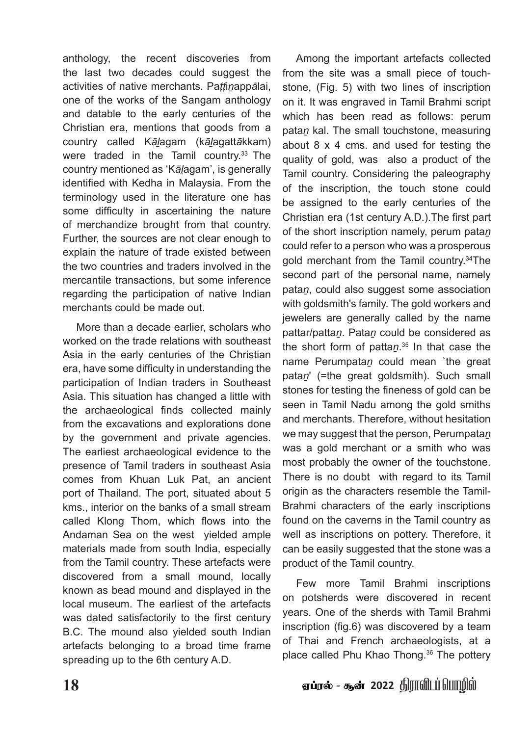anthology, the recent discoveries from the last two decades could suggest the activities of native merchants. Pa*ṭṭ*i*ṉ*app*ā*lai, one of the works of the Sangam anthology and datable to the early centuries of the Christian era, mentions that goods from a country called K*āḻ*agam (k*āḻ*agatt*ā*kkam) were traded in the Tamil country.<sup>33</sup> The country mentioned as 'K*āḻ*agam', is generally identified with Kedha in Malaysia. From the terminology used in the literature one has some difficulty in ascertaining the nature of merchandize brought from that country. Further, the sources are not clear enough to explain the nature of trade existed between the two countries and traders involved in the mercantile transactions, but some inference regarding the participation of native Indian merchants could be made out.

More than a decade earlier, scholars who worked on the trade relations with southeast Asia in the early centuries of the Christian era, have some difficulty in understanding the participation of Indian traders in Southeast Asia. This situation has changed a little with the archaeological finds collected mainly from the excavations and explorations done by the government and private agencies. The earliest archaeological evidence to the presence of Tamil traders in southeast Asia comes from Khuan Luk Pat, an ancient port of Thailand. The port, situated about 5 kms., interior on the banks of a small stream called Klong Thom, which flows into the Andaman Sea on the west yielded ample materials made from south India, especially from the Tamil country. These artefacts were discovered from a small mound, locally known as bead mound and displayed in the local museum. The earliest of the artefacts was dated satisfactorily to the first century B.C. The mound also yielded south Indian artefacts belonging to a broad time frame spreading up to the 6th century A.D.

Among the important artefacts collected from the site was a small piece of touchstone, (Fig. 5) with two lines of inscription on it. It was engraved in Tamil Brahmi script which has been read as follows: perum pata*ṉ* kal. The small touchstone, measuring about 8 x 4 cms. and used for testing the quality of gold, was also a product of the Tamil country. Considering the paleography of the inscription, the touch stone could be assigned to the early centuries of the Christian era (1st century A.D.).The first part of the short inscription namely, perum pata*ṉ*  could refer to a person who was a prosperous gold merchant from the Tamil country.34The second part of the personal name, namely pata*ṉ*, could also suggest some association with goldsmith's family. The gold workers and jewelers are generally called by the name pattar/patta*ṉ*. Pata*ṉ* could be considered as the short form of patta*ṉ*. 35 In that case the name Perumpata*ṉ* could mean `the great pata*ṉ*' (=the great goldsmith). Such small stones for testing the fineness of gold can be seen in Tamil Nadu among the gold smiths and merchants. Therefore, without hesitation we may suggest that the person, Perumpata*n* was a gold merchant or a smith who was most probably the owner of the touchstone. There is no doubt with regard to its Tamil origin as the characters resemble the Tamil-Brahmi characters of the early inscriptions found on the caverns in the Tamil country as well as inscriptions on pottery. Therefore, it can be easily suggested that the stone was a product of the Tamil country.

Few more Tamil Brahmi inscriptions on potsherds were discovered in recent years. One of the sherds with Tamil Brahmi inscription (fig.6) was discovered by a team of Thai and French archaeologists, at a place called Phu Khao Thong.<sup>36</sup> The pottery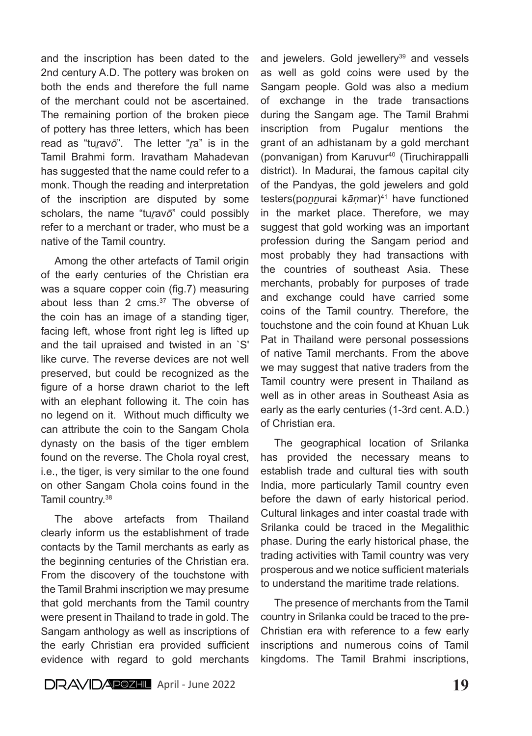and the inscription has been dated to the 2nd century A.D. The pottery was broken on both the ends and therefore the full name of the merchant could not be ascertained. The remaining portion of the broken piece of pottery has three letters, which has been read as "tu*ṟ*av*ō*". The letter "*ṟ*a" is in the Tamil Brahmi form. Iravatham Mahadevan has suggested that the name could refer to a monk. Though the reading and interpretation of the inscription are disputed by some scholars, the name "turavo" could possibly refer to a merchant or trader, who must be a native of the Tamil country.

Among the other artefacts of Tamil origin of the early centuries of the Christian era was a square copper coin (fig.7) measuring about less than 2 cms.37 The obverse of the coin has an image of a standing tiger, facing left, whose front right leg is lifted up and the tail upraised and twisted in an `S' like curve. The reverse devices are not well preserved, but could be recognized as the figure of a horse drawn chariot to the left with an elephant following it. The coin has no legend on it. Without much difficulty we can attribute the coin to the Sangam Chola dynasty on the basis of the tiger emblem found on the reverse. The Chola royal crest, i.e., the tiger, is very similar to the one found on other Sangam Chola coins found in the Tamil country.38

The above artefacts from Thailand clearly inform us the establishment of trade contacts by the Tamil merchants as early as the beginning centuries of the Christian era. From the discovery of the touchstone with the Tamil Brahmi inscription we may presume that gold merchants from the Tamil country were present in Thailand to trade in gold. The Sangam anthology as well as inscriptions of the early Christian era provided sufficient evidence with regard to gold merchants and jewelers. Gold jewellery<sup>39</sup> and vessels as well as gold coins were used by the Sangam people. Gold was also a medium of exchange in the trade transactions during the Sangam age. The Tamil Brahmi inscription from Pugalur mentions the grant of an adhistanam by a gold merchant (ponvanigan) from Karuvur40 (Tiruchirappalli district). In Madurai, the famous capital city of the Pandyas, the gold jewelers and gold testers(po*ṉṉ*urai k*āṇ*mar)41 have functioned in the market place. Therefore, we may suggest that gold working was an important profession during the Sangam period and most probably they had transactions with the countries of southeast Asia. These merchants, probably for purposes of trade and exchange could have carried some coins of the Tamil country. Therefore, the touchstone and the coin found at Khuan Luk Pat in Thailand were personal possessions of native Tamil merchants. From the above we may suggest that native traders from the Tamil country were present in Thailand as well as in other areas in Southeast Asia as early as the early centuries (1-3rd cent. A.D.) of Christian era.

The geographical location of Srilanka has provided the necessary means to establish trade and cultural ties with south India, more particularly Tamil country even before the dawn of early historical period. Cultural linkages and inter coastal trade with Srilanka could be traced in the Megalithic phase. During the early historical phase, the trading activities with Tamil country was very prosperous and we notice sufficient materials to understand the maritime trade relations.

The presence of merchants from the Tamil country in Srilanka could be traced to the pre-Christian era with reference to a few early inscriptions and numerous coins of Tamil kingdoms. The Tamil Brahmi inscriptions,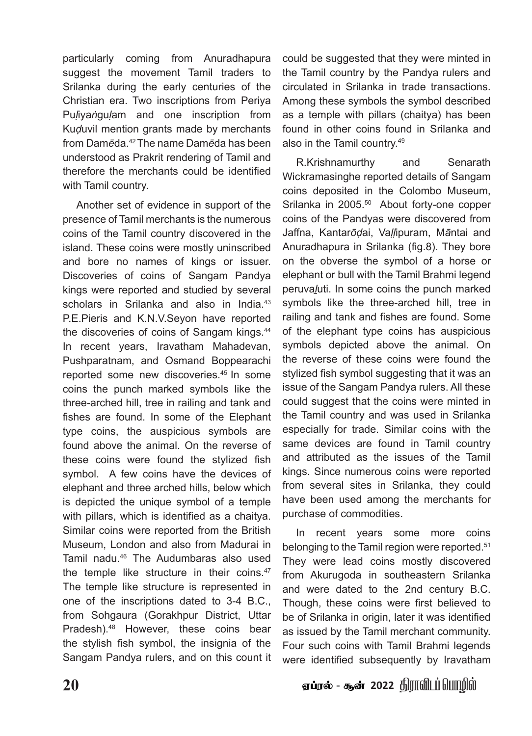particularly coming from Anuradhapura suggest the movement Tamil traders to Srilanka during the early centuries of the Christian era. Two inscriptions from Periya Pu*ḷ*iya*ṅ*gu*ḷ*am and one inscription from Ku*ḍ*uvil mention grants made by merchants from Dam*ē*da.42 The name Dam*ē*da has been understood as Prakrit rendering of Tamil and therefore the merchants could be identified with Tamil country.

Another set of evidence in support of the presence of Tamil merchants is the numerous coins of the Tamil country discovered in the island. These coins were mostly uninscribed and bore no names of kings or issuer. Discoveries of coins of Sangam Pandya kings were reported and studied by several scholars in Srilanka and also in India.<sup>43</sup> P.E.Pieris and K.N.V.Seyon have reported the discoveries of coins of Sangam kings.<sup>44</sup> In recent years, Iravatham Mahadevan, Pushparatnam, and Osmand Boppearachi reported some new discoveries.<sup>45</sup> In some coins the punch marked symbols like the three-arched hill, tree in railing and tank and fishes are found. In some of the Elephant type coins, the auspicious symbols are found above the animal. On the reverse of these coins were found the stylized fish symbol. A few coins have the devices of elephant and three arched hills, below which is depicted the unique symbol of a temple with pillars, which is identified as a chaitya. Similar coins were reported from the British Museum, London and also from Madurai in Tamil nadu.46 The Audumbaras also used the temple like structure in their coins.<sup>47</sup> The temple like structure is represented in one of the inscriptions dated to 3-4 B.C., from Sohgaura (Gorakhpur District, Uttar Pradesh).<sup>48</sup> However, these coins bear the stylish fish symbol, the insignia of the Sangam Pandya rulers, and on this count it could be suggested that they were minted in the Tamil country by the Pandya rulers and circulated in Srilanka in trade transactions. Among these symbols the symbol described as a temple with pillars (chaitya) has been found in other coins found in Srilanka and also in the Tamil country.49

R.Krishnamurthy and Senarath Wickramasinghe reported details of Sangam coins deposited in the Colombo Museum, Srilanka in 2005.<sup>50</sup> About forty-one copper coins of the Pandyas were discovered from Jaffna, Kantar*ōḍ*ai, Va*ḷḷ*ipuram, M*ā*ntai and Anuradhapura in Srilanka (fig.8). They bore on the obverse the symbol of a horse or elephant or bull with the Tamil Brahmi legend peruva*ḻ*uti. In some coins the punch marked symbols like the three-arched hill, tree in railing and tank and fishes are found. Some of the elephant type coins has auspicious symbols depicted above the animal. On the reverse of these coins were found the stylized fish symbol suggesting that it was an issue of the Sangam Pandya rulers. All these could suggest that the coins were minted in the Tamil country and was used in Srilanka especially for trade. Similar coins with the same devices are found in Tamil country and attributed as the issues of the Tamil kings. Since numerous coins were reported from several sites in Srilanka, they could have been used among the merchants for purchase of commodities.

In recent years some more coins belonging to the Tamil region were reported.51 They were lead coins mostly discovered from Akurugoda in southeastern Srilanka and were dated to the 2nd century B.C. Though, these coins were first believed to be of Srilanka in origin, later it was identified as issued by the Tamil merchant community. Four such coins with Tamil Brahmi legends were identified subsequently by Iravatham

20 V *உ*ண் 2022 திராவிடப்பொழில் - கூன் 2022 திராவிடப்பொழில்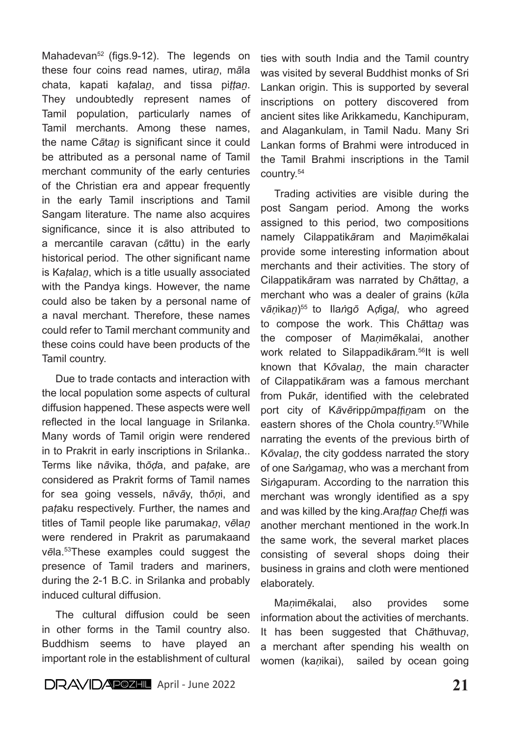Mahadevan<sup>52</sup> (figs.9-12). The legends on these four coins read names, utira*ṉ*, m*ā*la chata, kapati ka*ṭ*ala*ṉ*, and tissa pi*ṭṭ*a*ṉ*. They undoubtedly represent names of Tamil population, particularly names of Tamil merchants. Among these names, the name C*ā*ta*ṉ* is significant since it could be attributed as a personal name of Tamil merchant community of the early centuries of the Christian era and appear frequently in the early Tamil inscriptions and Tamil Sangam literature. The name also acquires significance, since it is also attributed to a mercantile caravan (c*ā*ttu) in the early historical period. The other significant name is Ka*ṭ*ala*ṉ*, which is a title usually associated with the Pandya kings. However, the name could also be taken by a personal name of a naval merchant. Therefore, these names could refer to Tamil merchant community and these coins could have been products of the Tamil country.

Due to trade contacts and interaction with the local population some aspects of cultural diffusion happened. These aspects were well reflected in the local language in Srilanka. Many words of Tamil origin were rendered in to Prakrit in early inscriptions in Srilanka.. Terms like n*ā*vika, th*ōḍ*a, and pa*ṭ*ake, are considered as Prakrit forms of Tamil names for sea going vessels, n*ā*v*ā*y, th*ōṇ*i, and pa*ṭ*aku respectively. Further, the names and titles of Tamil people like parumaka*ṉ*, v*ē*la*ṉ* were rendered in Prakrit as parumakaand v*ē*la.53These examples could suggest the presence of Tamil traders and mariners, during the 2-1 B.C. in Srilanka and probably induced cultural diffusion.

The cultural diffusion could be seen in other forms in the Tamil country also. Buddhism seems to have played an important role in the establishment of cultural ties with south India and the Tamil country was visited by several Buddhist monks of Sri Lankan origin. This is supported by several inscriptions on pottery discovered from ancient sites like Arikkamedu, Kanchipuram, and Alagankulam, in Tamil Nadu. Many Sri Lankan forms of Brahmi were introduced in the Tamil Brahmi inscriptions in the Tamil country.54

Trading activities are visible during the post Sangam period. Among the works assigned to this period, two compositions namely Cilappatik*ā*ram and Ma*ṇ*im*ē*kalai provide some interesting information about merchants and their activities. The story of Cilappatik*ā*ram was narrated by Ch*ā*tta*ṉ*, a merchant who was a dealer of grains (k*ū*la v*āṇ*ika*ṉ*)55 to Ila*ṅ*g*ō* A*ḍ*iga*ḷ*, who agreed to compose the work. This Ch*ā*tta*ṉ* was the composer of Ma*ṇ*im*ē*kalai, another work related to Silappadik*ā*ram.56It is well known that K*ō*vala*ṉ*, the main character of Cilappatik*ā*ram was a famous merchant from Puk*ā*r, identified with the celebrated port city of K*ā*v*ē*ripp*ū*mpa*ṭṭ*i*ṉ*am on the eastern shores of the Chola country.<sup>57</sup>While narrating the events of the previous birth of K*ō*vala*ṉ*, the city goddess narrated the story of one Sa*ṅ*gama*ṉ*, who was a merchant from Si*ṅ*gapuram. According to the narration this merchant was wrongly identified as a spy and was killed by the king.Ara*ṭṭ*a*ṉ* Che*ṭṭ*i was another merchant mentioned in the work.In the same work, the several market places consisting of several shops doing their business in grains and cloth were mentioned elaborately.

Ma*ṇ*im*ē*kalai, also provides some information about the activities of merchants. It has been suggested that Ch*ā*thuva*ṉ*, a merchant after spending his wealth on women (ka*ṇ*ikai), sailed by ocean going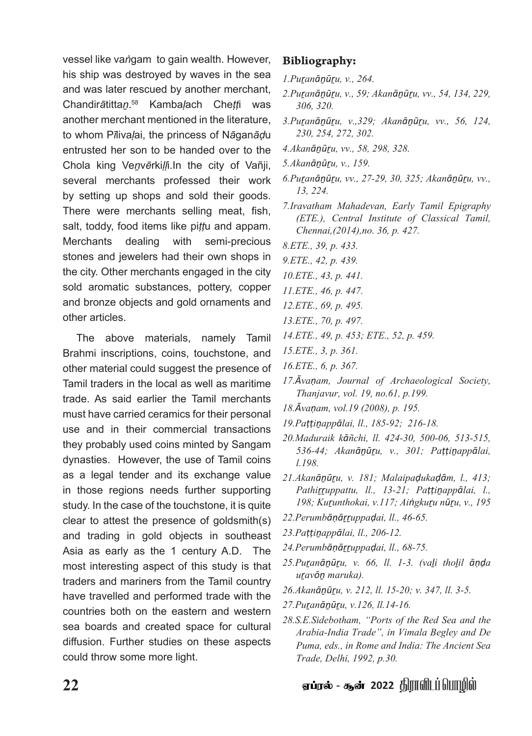vessel like va*ṅ*gam to gain wealth. However, his ship was destroyed by waves in the sea and was later rescued by another merchant, Chandir*ā*titta*ṉ*. 58 Kamba*ḷ*ach Che*ṭṭ*i was another merchant mentioned in the literature, to whom P*ī*liva*ḷ*ai, the princess of N*ā*gan*āḍ*u entrusted her son to be handed over to the Chola king Ve*ṉ*v*ē*rki*ḷḷ*i.In the city of Vañji, several merchants professed their work by setting up shops and sold their goods. There were merchants selling meat, fish, salt, toddy, food items like pi*ṭṭ*u and appam. Merchants dealing with semi-precious stones and jewelers had their own shops in the city. Other merchants engaged in the city sold aromatic substances, pottery, copper and bronze objects and gold ornaments and other articles.

The above materials, namely Tamil Brahmi inscriptions, coins, touchstone, and other material could suggest the presence of Tamil traders in the local as well as maritime trade. As said earlier the Tamil merchants must have carried ceramics for their personal use and in their commercial transactions they probably used coins minted by Sangam dynasties. However, the use of Tamil coins as a legal tender and its exchange value in those regions needs further supporting study. In the case of the touchstone, it is quite clear to attest the presence of goldsmith(s) and trading in gold objects in southeast Asia as early as the 1 century A.D. The most interesting aspect of this study is that traders and mariners from the Tamil country have travelled and performed trade with the countries both on the eastern and western sea boards and created space for cultural diffusion. Further studies on these aspects could throw some more light.

#### Bibliography:

- *1.Puṟanāṉūṟu, v., 264.*
- *2.Puṟanāṉūṟu, v., 59; Akanāṉūṟu, vv., 54, 134, 229, 306, 320.*
- *3.Puṟanāṉūṟu, v.,329; Akanāṉūṟu, vv., 56, 124, 230, 254, 272, 302.*
- *4.Akanāṉūṟu, vv., 58, 298, 328.*
- *5.Akanāṉūṟu, v., 159.*
- *6.Puṟanāṉūṟu, vv., 27-29, 30, 325; Akanāṉūṟu, vv., 13, 224.*
- *7.Iravatham Mahadevan, Early Tamil Epigraphy (ETE.), Central Institute of Classical Tamil, Chennai,(2014),no. 36, p. 427.*
- *8.ETE., 39, p. 433.*
- *9.ETE., 42, p. 439.*
- *10.ETE., 43, p. 441.*
- *11.ETE., 46, p. 447.*
- *12.ETE., 69, p. 495.*
- *13.ETE., 70, p. 497.*
- *14.ETE., 49, p. 453; ETE., 52, p. 459.*
- *15.ETE., 3, p. 361.*
- *16.ETE., 6, p. 367.*
- *17.Āvaṇam, Journal of Archaeological Society, Thanjavur, vol. 19, no.61, p.199.*
- *18.Āvaṇam, vol.19 (2008), p. 195.*
- *19.Paṭṭiṉappālai, ll., 185-92; 216-18.*
- *20.Maduraik kāñchi, ll. 424-30, 500-06, 513-515, 536-44; Akanāṉūṟu, v., 301; Paṭṭiṉappālai, l.198.*
- *21.Akanāṉūṟu, v. 181; Malaipaḍukaḍām, l., 413; Pathiṟṟuppattu, ll., 13-21; Paṭṭiṉappālai, l., 198; Kuṟunthokai, v.117; Aiṅgkuṟu nūṟu, v., 195*
- *22.Perumbāṇāṟṟuppaḍai, ll., 46-65.*
- *23.Paṭṭiṉappālai, ll., 206-12.*
- *24.Perumbāṇāṟṟuppaḍai, ll., 68-75.*
- *25.Puṟanāṉūṟu, v. 66, ll. 1-3. (vaḻi thoḻil āṇḍa uṟavōṉ maruka).*
- *26.Akanāṉūṟu, v. 212, ll. 15-20; v. 347, ll. 3-5.*
- *27.Puṟanāṉūṟu, v.126, ll.14-16.*
- *28.S.E.Sidebotham, "Ports of the Red Sea and the Arabia-India Trade", in Vimala Begley and De Puma, eds., in Rome and India: The Ancient Sea Trade, Delhi, 1992, p.30.*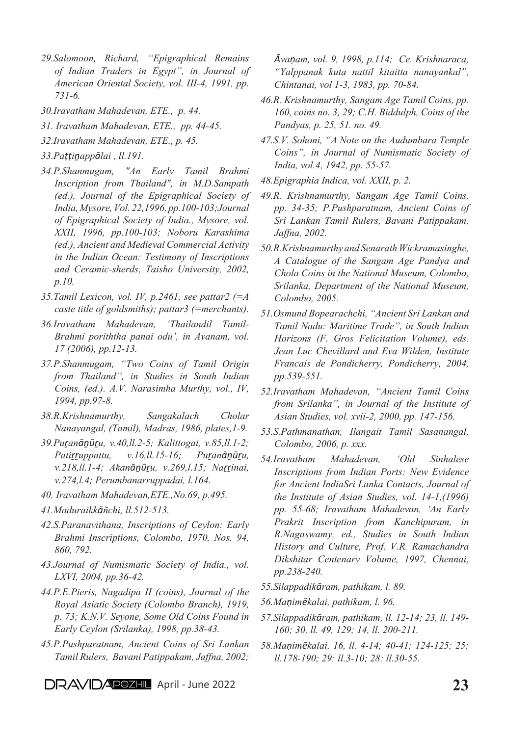- *29.Salomoon, Richard, "Epigraphical Remains of Indian Traders in Egypt", in Journal of American Oriental Society, vol. III-4, 1991, pp. 731-6.*
- *30.Iravatham Mahadevan, ETE., p. 44.*
- *31. Iravatham Mahadevan, ETE., pp. 44-45.*
- *32.Iravatham Mahadevan, ETE., p. 45.*
- *33.Paṭṭiṉappālai , ll.191.*
- *34.P.Shanmugam, "An Early Tamil Brahmi Inscription from Thailand", in M.D.Sampath (ed.), Journal of the Epigraphical Society of India, Mysore, Vol. 22,1996, pp.100-103;Journal of Epigraphical Society of India., Mysore, vol. XXII, 1996, pp.100-103; Noboru Karashima (ed.), Ancient and Medieval Commercial Activity in the Indian Ocean: Testimony of Inscriptions and Ceramic-sherds, Taisho University, 2002, p.10.*
- *35.Tamil Lexicon, vol. IV, p.2461, see pattar2 (=A caste title of goldsmiths); pattar3 (=merchants).*
- *36.Iravatham Mahadevan, 'Thailandil Tamil-Brahmi poriththa panai odu', in Avanam, vol. 17 (2006), pp.12-13.*
- *37.P.Shanmugam, "Two Coins of Tamil Origin from Thailand", in Studies in South Indian Coins, (ed.). A.V. Narasimha Murthy, vol., IV, 1994, pp.97-8.*
- *38.R.Krishnamurthy, Sangakalach Cholar Nanayangal, (Tamil), Madras, 1986, plates,1-9.*
- *39.Puṟanāṉūṟu, v.40,ll.2-5; Kalittogai, v.85,ll.1-2; Patiṟṟuppattu, v.16,ll.15-16; Puṟanāṉūṟu, v.218,ll.1-4; Akanāṉūṟu, v.269,l.15; Naṟṟinai, v.274,l.4; Perumbanarruppadai, l.164.*
- *40. Iravatham Mahadevan,ETE.,No.69, p.495.*
- *41.Maduraikkāñchi, ll.512-513.*
- *42.S.Paranavithana, Inscriptions of Ceylon: Early Brahmi Inscriptions, Colombo, 1970, Nos. 94, 860, 792.*
- *43.Journal of Numismatic Society of India., vol. LXVI, 2004, pp.36-42.*
- *44.P.E.Pieris, Nagadipa II (coins), Journal of the Royal Asiatic Society (Colombo Branch), 1919, p. 73; K.N.V. Seyone, Some Old Coins Found in Early Ceylon (Srilanka), 1998, pp.38-43.*
- *45.P.Pushparatnam, Ancient Coins of Sri Lankan Tamil Rulers, Bavani Patippakam, Jaffna, 2002;*

*Āvaṇam, vol. 9, 1998, p.114; Ce. Krishnaraca, "Yalppanak kuta nattil kitaitta nanayankal", Chintanai, vol 1-3, 1983, pp. 70-84.*

- *46.R. Krishnamurthy, Sangam Age Tamil Coins, pp. 160, coins no. 3, 29; C.H. Biddulph, Coins of the Pandyas, p. 25, 51. no. 49.*
- *47.S.V. Sohoni, "A Note on the Audumbara Temple Coins", in Journal of Numismatic Society of India, vol.4, 1942, pp. 55-57.*
- *48.Epigraphia Indica, vol. XXII, p. 2.*
- *49.R. Krishnamurthy, Sangam Age Tamil Coins, pp. 34-35; P.Pushparatnam, Ancient Coins of Sri Lankan Tamil Rulers, Bavani Patippakam, Jaffna, 2002.*
- *50.R.Krishnamurthy and Senarath Wickramasinghe, A Catalogue of the Sangam Age Pandya and Chola Coins in the National Museum, Colombo, Srilanka, Department of the National Museum, Colombo, 2005.*
- *51.Osmund Bopearachchi, "Ancient Sri Lankan and Tamil Nadu: Maritime Trade", in South Indian Horizons (F. Gros Felicitation Volume), eds. Jean Luc Chevillard and Eva Wilden, Institute Francais de Pondicherry, Pondicherry, 2004, pp.539-551.*
- *52.Iravatham Mahadevan, "Ancient Tamil Coins from Srilanka", in Journal of the Institute of Asian Studies, vol. xvii-2, 2000, pp. 147-156.*
- *53.S.Pathmanathan, Ilangait Tamil Sasanangal, Colombo, 2006, p. xxx.*
- *54.Iravatham Mahadevan, 'Old Sinhalese Inscriptions from Indian Ports: New Evidence for Ancient IndiaSri Lanka Contacts, Journal of the Institute of Asian Studies, vol. 14-1,(1996) pp. 55-68; Iravatham Mahadevan, 'An Early Prakrit Inscription from Kanchipuram, in R.Nagaswamy, ed., Studies in South Indian History and Culture, Prof. V.R. Ramachandra Dikshitar Centenary Volume, 1997, Chennai, pp.238-240.*
- *55.Silappadikāram, pathikam, l. 89.*
- *56.Maṇimēkalai, pathikam, l. 96.*
- *57.Silappadikāram, pathikam, ll. 12-14; 23, ll. 149- 160; 30, ll. 49, 129; 14, ll. 200-211.*
- *58.Maṇimēkalai, 16, ll. 4-14; 40-41; 124-125; 25: ll.178-190; 29: ll.3-10; 28: ll.30-55.*